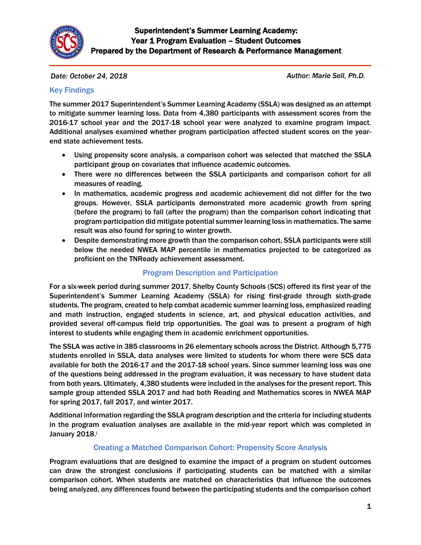

*Date: October 24, 2018 Author: Marie Sell, Ph.D.*

### Key Findings

The summer 2017 Superintendent's Summer Learning Academy (SSLA) was designed as an attempt to mitigate summer learning loss. Data from 4,380 participants with assessment scores from the 2016-17 school year and the 2017-18 school year were analyzed to examine program impact. Additional analyses examined whether program participation affected student scores on the yearend state achievement tests.

- Using propensity score analysis, a comparison cohort was selected that matched the SSLA participant group on covariates that influence academic outcomes.
- There were no differences between the SSLA participants and comparison cohort for all measures of reading.
- In mathematics, academic progress and academic achievement did not differ for the two groups. However, SSLA participants demonstrated more academic growth from spring (before the program) to fall (after the program) than the comparison cohort indicating that program participation did mitigate potential summer learning loss in mathematics. The same result was also found for spring to winter growth.
- Despite demonstrating more growth than the comparison cohort, SSLA participants were still below the needed NWEA MAP percentile in mathematics projected to be categorized as proficient on the TNReady achievement assessment.

### Program Description and Participation

For a six-week period during summer 2017, Shelby County Schools (SCS) offered its first year of the Superintendent's Summer Learning Academy (SSLA) for rising first-grade through sixth-grade students. The program, created to help combat academic summer learning loss, emphasized reading and math instruction, engaged students in science, art, and physical education activities, and provided several off-campus field trip opportunities. The goal was to present a program of high interest to students while engaging them in academic enrichment opportunities.

The SSLA was active in 385 classrooms in 26 elementary schools across the District. Although 5,775 students enrolled in SSLA, data analyses were limited to students for whom there were SCS data available for both the 2016-17 and the 2017-18 school years. Since summer learning loss was one of the questions being addressed in the program evaluation, it was necessary to have student data from both years. Ultimately, 4,380 students were included in the analyses for the present report. This sample group attended SSLA 2017 and had both Reading and Mathematics scores in NWEA MAP for spring 2017, fall 2017, and winter 2017.

Additional information regarding the SSLA program description and the criteria for including students in the program evaluation analyses are available in the mid-year report which was completed in January 2018.

## Creating a Matched Comparison Cohort: Propensity Score Analysis

Program evaluations that are designed to examine the impact of a program on student outcomes can draw the strongest conclusions if participating students can be matched with a similar comparison cohort. When students are matched on characteristics that influence the outcomes being analyzed, any differences found between the participating students and the comparison cohort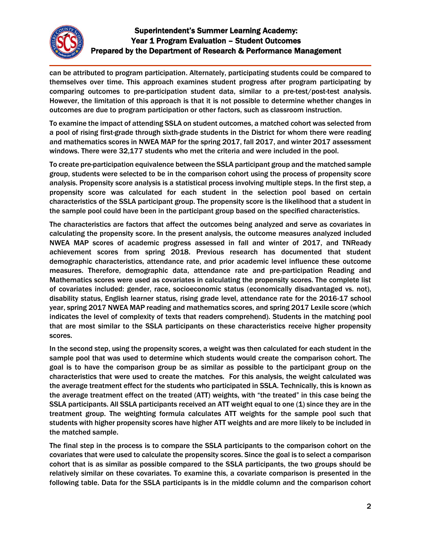

can be attributed to program participation. Alternately, participating students could be compared to themselves over time. This approach examines student progress after program participating by comparing outcomes to pre-participation student data, similar to a pre-test/post-test analysis. However, the limitation of this approach is that it is not possible to determine whether changes in outcomes are due to program participation or other factors, such as classroom instruction.

To examine the impact of attending SSLA on student outcomes, a matched cohort was selected from a pool of rising first-grade through sixth-grade students in the District for whom there were reading and mathematics scores in NWEA MAP for the spring 2017, fall 2017, and winter 2017 assessment windows. There were 32,177 students who met the criteria and were included in the pool.

To create pre-participation equivalence between the SSLA participant group and the matched sample group, students were selected to be in the comparison cohort using the process of propensity score analysis. Propensity score analysis is a statistical process involving multiple steps. In the first step, a propensity score was calculated for each student in the selection pool based on certain characteristics of the SSLA participant group. The propensity score is the likelihood that a student in the sample pool could have been in the participant group based on the specified characteristics.

The characteristics are factors that affect the outcomes being analyzed and serve as covariates in calculating the propensity score. In the present analysis, the outcome measures analyzed included NWEA MAP scores of academic progress assessed in fall and winter of 2017, and TNReady achievement scores from spring 2018. Previous research has documented that student demographic characteristics, attendance rate, and prior academic level influence these outcome measures. Therefore, demographic data, attendance rate and pre-participation Reading and Mathematics scores were used as covariates in calculating the propensity scores. The complete list of covariates included: gender, race, socioeconomic status (economically disadvantaged vs. not), disability status, English learner status, rising grade level, attendance rate for the 2016-17 school year, spring 2017 NWEA MAP reading and mathematics scores, and spring 2017 Lexile score (which indicates the level of complexity of texts that readers comprehend). Students in the matching pool that are most similar to the SSLA participants on these characteristics receive higher propensity scores.

In the second step, using the propensity scores, a weight was then calculated for each student in the sample pool that was used to determine which students would create the comparison cohort. The goal is to have the comparison group be as similar as possible to the participant group on the characteristics that were used to create the matches. For this analysis, the weight calculated was the average treatment effect for the students who participated in SSLA. Technically, this is known as the average treatment effect on the treated (ATT) weights, with "the treated" in this case being the SSLA participants. All SSLA participants received an ATT weight equal to one (1) since they are in the treatment group. The weighting formula calculates ATT weights for the sample pool such that students with higher propensity scores have higher ATT weights and are more likely to be included in the matched sample.

The final step in the process is to compare the SSLA participants to the comparison cohort on the covariates that were used to calculate the propensity scores. Since the goal is to select a comparison cohort that is as similar as possible compared to the SSLA participants, the two groups should be relatively similar on these covariates. To examine this, a covariate comparison is presented in the following table. Data for the SSLA participants is in the middle column and the comparison cohort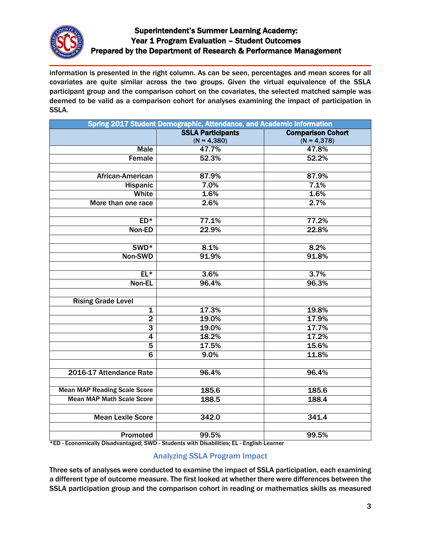

information is presented in the right column. As can be seen, percentages and mean scores for all covariates are quite similar across the two groups. Given the virtual equivalence of the SSLA participant group and the comparison cohort on the covariates, the selected matched sample was deemed to be valid as a comparison cohort for analyses examining the impact of participation in SSLA.

| Spring 2017 Student Demographic, Attendance, and Academic Information |                          |                          |  |  |  |
|-----------------------------------------------------------------------|--------------------------|--------------------------|--|--|--|
|                                                                       | <b>SSLA Participants</b> | <b>Comparison Cohort</b> |  |  |  |
|                                                                       | $(N = 4,380)$            | $(N = 4,378)$            |  |  |  |
| <b>Male</b>                                                           | 47.7%                    | 47.8%                    |  |  |  |
| Female                                                                | 52.3%                    | 52.2%                    |  |  |  |
|                                                                       |                          |                          |  |  |  |
| African-American                                                      | 87.9%                    | 87.9%                    |  |  |  |
| Hispanic                                                              | 7.0%                     | 7.1%                     |  |  |  |
| White                                                                 | 1.6%                     | 1.6%                     |  |  |  |
| More than one race                                                    | 2.6%                     | 2.7%                     |  |  |  |
|                                                                       |                          |                          |  |  |  |
| $ED*$                                                                 | 77.1%                    | 77.2%                    |  |  |  |
| Non-ED                                                                | 22.9%                    | 22.8%                    |  |  |  |
|                                                                       |                          |                          |  |  |  |
| SWD <sup>*</sup>                                                      | 8.1%                     | 8.2%                     |  |  |  |
| Non-SWD                                                               | 91.9%                    | 91.8%                    |  |  |  |
|                                                                       |                          |                          |  |  |  |
| $EL*$                                                                 | 3.6%                     | 3.7%                     |  |  |  |
| Non-EL                                                                | 96.4%                    | 96.3%                    |  |  |  |
|                                                                       |                          |                          |  |  |  |
| <b>Rising Grade Level</b>                                             |                          |                          |  |  |  |
| $\mathbf 1$                                                           | 17.3%                    | 19.8%                    |  |  |  |
| $\overline{2}$                                                        | 19.0%                    | 17.9%                    |  |  |  |
| $\overline{3}$                                                        | 19.0%                    | 17.7%                    |  |  |  |
| $\overline{4}$                                                        | 18.2%                    | 17.2%                    |  |  |  |
| $\overline{5}$                                                        | 17.5%                    | 15.6%                    |  |  |  |
| $\overline{6}$                                                        | 9.0%                     | 11.8%                    |  |  |  |
|                                                                       |                          |                          |  |  |  |
| 2016-17 Attendance Rate                                               | 96.4%                    | 96.4%                    |  |  |  |
|                                                                       |                          |                          |  |  |  |
| <b>Mean MAP Reading Scale Score</b>                                   | 185.6                    | 185.6                    |  |  |  |
| <b>Mean MAP Math Scale Score</b>                                      | 188.5                    | 188.4                    |  |  |  |
|                                                                       |                          |                          |  |  |  |
| <b>Mean Lexile Score</b>                                              | 342.0                    | 341.4                    |  |  |  |
|                                                                       |                          |                          |  |  |  |
| <b>Promoted</b>                                                       | 99.5%                    | 99.5%                    |  |  |  |
|                                                                       |                          |                          |  |  |  |

\*ED - Economically Disadvantaged; SWD - Students with Disabilities; EL - English Learner

## Analyzing SSLA Program Impact

Three sets of analyses were conducted to examine the impact of SSLA participation, each examining a different type of outcome measure. The first looked at whether there were differences between the SSLA participation group and the comparison cohort in reading or mathematics skills as measured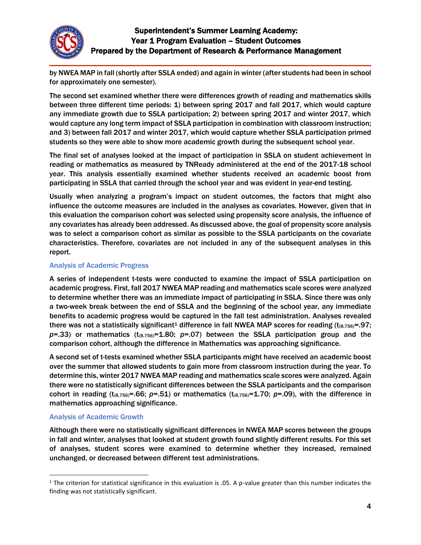

by NWEA MAP in fall (shortly after SSLA ended) and again in winter (after students had been in school for approximately one semester).

The second set examined whether there were differences growth of reading and mathematics skills between three different time periods: 1) between spring 2017 and fall 2017, which would capture any immediate growth due to SSLA participation; 2) between spring 2017 and winter 2017, which would capture any long term impact of SSLA participation in combination with classroom instruction; and 3) between fall 2017 and winter 2017, which would capture whether SSLA participation primed students so they were able to show more academic growth during the subsequent school year.

The final set of analyses looked at the impact of participation in SSLA on student achievement in reading or mathematics as measured by TNReady administered at the end of the 2017-18 school year. This analysis essentially examined whether students received an academic boost from participating in SSLA that carried through the school year and was evident in year-end testing.

Usually when analyzing a program's impact on student outcomes, the factors that might also influence the outcome measures are included in the analyses as covariates. However, given that in this evaluation the comparison cohort was selected using propensity score analysis, the influence of any covariates has already been addressed. As discussed above, the goal of propensity score analysis was to select a comparison cohort as similar as possible to the SSLA participants on the covariate characteristics. Therefore, covariates are not included in any of the subsequent analyses in this report.

### Analysis of Academic Progress

A series of independent t-tests were conducted to examine the impact of SSLA participation on academic progress. First, fall 2017 NWEA MAP reading and mathematics scale scores were analyzed to determine whether there was an immediate impact of participating in SSLA. Since there was only a two-week break between the end of SSLA and the beginning of the school year, any immediate benefits to academic progress would be captured in the fall test administration. Analyses revealed there was not a statistically significant<sup>1</sup> difference in fall NWEA MAP scores for reading  $(t_{(8,756)}=0.97;$  $p=33$ ) or mathematics (t<sub>(8,756</sub>)=1.80;  $p=07$ ) between the SSLA participation group and the comparison cohort, although the difference in Mathematics was approaching significance.

A second set of t-tests examined whether SSLA participants might have received an academic boost over the summer that allowed students to gain more from classroom instruction during the year. To determine this, winter 2017 NWEA MAP reading and mathematics scale scores were analyzed. Again there were no statistically significant differences between the SSLA participants and the comparison cohort in reading ( $t_{(8,756)}$ =.66; *p*=.51) or mathematics ( $t_{(8,756)}$ =1.70; *p*=.09), with the difference in mathematics approaching significance.

#### Analysis of Academic Growth

 $\overline{\phantom{a}}$ 

Although there were no statistically significant differences in NWEA MAP scores between the groups in fall and winter, analyses that looked at student growth found slightly different results. For this set of analyses, student scores were examined to determine whether they increased, remained unchanged, or decreased between different test administrations.

 $1$  The criterion for statistical significance in this evaluation is .05. A p-value greater than this number indicates the finding was not statistically significant.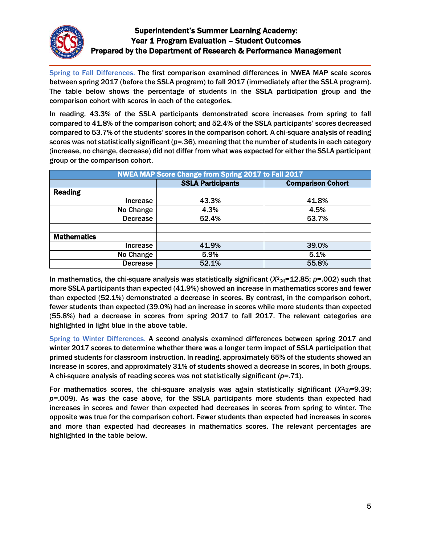

Spring to Fall Differences. The first comparison examined differences in NWEA MAP scale scores between spring 2017 (before the SSLA program) to fall 2017 (immediately after the SSLA program). The table below shows the percentage of students in the SSLA participation group and the comparison cohort with scores in each of the categories.

In reading, 43.3% of the SSLA participants demonstrated score increases from spring to fall compared to 41.8% of the comparison cohort; and 52.4% of the SSLA participants' scores decreased compared to 53.7% of the students' scores in the comparison cohort. A chi-square analysis of reading scores was not statistically significant (*p*=.36), meaning that the number of students in each category (increase, no change, decrease) did not differ from what was expected for either the SSLA participant group or the comparison cohort.

| NWEA MAP Score Change from Spring 2017 to Fall 2017 |                                                      |       |  |  |  |
|-----------------------------------------------------|------------------------------------------------------|-------|--|--|--|
|                                                     | <b>SSLA Participants</b><br><b>Comparison Cohort</b> |       |  |  |  |
| <b>Reading</b>                                      |                                                      |       |  |  |  |
| Increase                                            | 43.3%                                                | 41.8% |  |  |  |
| No Change                                           | 4.3%                                                 | 4.5%  |  |  |  |
| <b>Decrease</b>                                     | 52.4%                                                | 53.7% |  |  |  |
|                                                     |                                                      |       |  |  |  |
| <b>Mathematics</b>                                  |                                                      |       |  |  |  |
| Increase                                            | 41.9%                                                | 39.0% |  |  |  |
| No Change                                           | 5.9%                                                 | 5.1%  |  |  |  |
| <b>Decrease</b>                                     | 52.1%                                                | 55.8% |  |  |  |

In mathematics, the chi-square analysis was statistically significant (*X*<sup>2</sup><sub>(2)</sub>=12.85; *p*=.002) such that more SSLA participants than expected (41.9%) showed an increase in mathematics scores and fewer than expected (52.1%) demonstrated a decrease in scores. By contrast, in the comparison cohort, fewer students than expected (39.0%) had an increase in scores while more students than expected (55.8%) had a decrease in scores from spring 2017 to fall 2017. The relevant categories are highlighted in light blue in the above table.

Spring to Winter Differences. A second analysis examined differences between spring 2017 and winter 2017 scores to determine whether there was a longer term impact of SSLA participation that primed students for classroom instruction. In reading, approximately 65% of the students showed an increase in scores, and approximately 31% of students showed a decrease in scores, in both groups. A chi-square analysis of reading scores was not statistically significant (*p*=.71).

For mathematics scores, the chi-square analysis was again statistically significant (*X*<sup>2</sup><sub>(2)</sub>=9.39; *p*=.009). As was the case above, for the SSLA participants more students than expected had increases in scores and fewer than expected had decreases in scores from spring to winter. The opposite was true for the comparison cohort. Fewer students than expected had increases in scores and more than expected had decreases in mathematics scores. The relevant percentages are highlighted in the table below.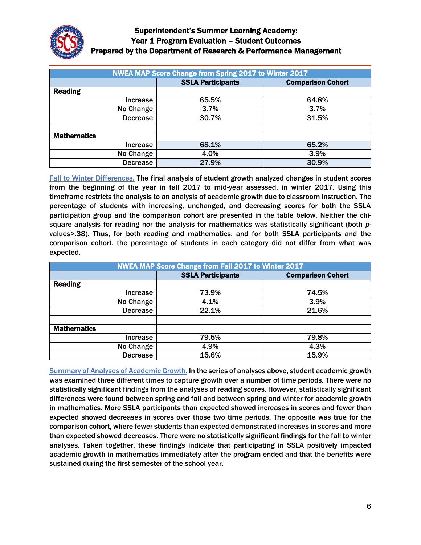

| <b>NWEA MAP Score Change from Spring 2017 to Winter 2017</b> |                                                      |       |  |  |  |
|--------------------------------------------------------------|------------------------------------------------------|-------|--|--|--|
|                                                              | <b>Comparison Cohort</b><br><b>SSLA Participants</b> |       |  |  |  |
| <b>Reading</b>                                               |                                                      |       |  |  |  |
| Increase                                                     | 65.5%                                                | 64.8% |  |  |  |
| No Change                                                    | 3.7%                                                 | 3.7%  |  |  |  |
| <b>Decrease</b>                                              | 30.7%                                                | 31.5% |  |  |  |
|                                                              |                                                      |       |  |  |  |
| <b>Mathematics</b>                                           |                                                      |       |  |  |  |
| Increase                                                     | 68.1%                                                | 65.2% |  |  |  |
| No Change                                                    | 4.0%                                                 | 3.9%  |  |  |  |
| <b>Decrease</b>                                              | 27.9%                                                | 30.9% |  |  |  |

Fall to Winter Differences. The final analysis of student growth analyzed changes in student scores from the beginning of the year in fall 2017 to mid-year assessed, in winter 2017. Using this timeframe restricts the analysis to an analysis of academic growth due to classroom instruction. The percentage of students with increasing, unchanged, and decreasing scores for both the SSLA participation group and the comparison cohort are presented in the table below. Neither the chisquare analysis for reading nor the analysis for mathematics was statistically significant (both *p*values>.38). Thus, for both reading and mathematics, and for both SSLA participants and the comparison cohort, the percentage of students in each category did not differ from what was expected.

| NWEA MAP Score Change from Fall 2017 to Winter 2017 |                                                      |       |  |  |  |
|-----------------------------------------------------|------------------------------------------------------|-------|--|--|--|
|                                                     | <b>SSLA Participants</b><br><b>Comparison Cohort</b> |       |  |  |  |
| <b>Reading</b>                                      |                                                      |       |  |  |  |
| Increase                                            | 73.9%                                                | 74.5% |  |  |  |
| No Change                                           | 4.1%                                                 | 3.9%  |  |  |  |
| <b>Decrease</b>                                     | 22.1%                                                | 21.6% |  |  |  |
|                                                     |                                                      |       |  |  |  |
| <b>Mathematics</b>                                  |                                                      |       |  |  |  |
| Increase                                            | 79.5%                                                | 79.8% |  |  |  |
| No Change                                           | 4.9%                                                 | 4.3%  |  |  |  |
| <b>Decrease</b>                                     | 15.6%                                                | 15.9% |  |  |  |

Summary of Analyses of Academic Growth. In the series of analyses above, student academic growth was examined three different times to capture growth over a number of time periods. There were no statistically significant findings from the analyses of reading scores. However, statistically significant differences were found between spring and fall and between spring and winter for academic growth in mathematics. More SSLA participants than expected showed increases in scores and fewer than expected showed decreases in scores over those two time periods. The opposite was true for the comparison cohort, where fewer students than expected demonstrated increases in scores and more than expected showed decreases. There were no statistically significant findings for the fall to winter analyses. Taken together, these findings indicate that participating in SSLA positively impacted academic growth in mathematics immediately after the program ended and that the benefits were sustained during the first semester of the school year.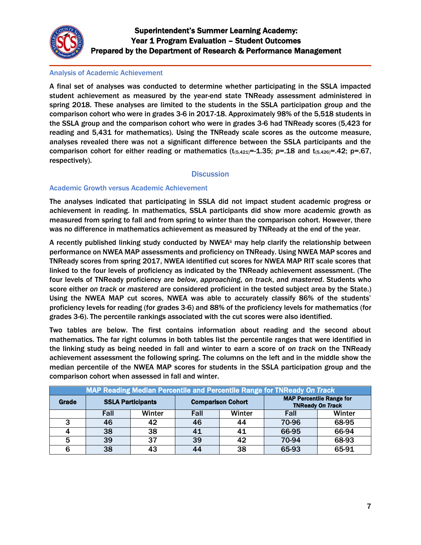

#### Analysis of Academic Achievement

A final set of analyses was conducted to determine whether participating in the SSLA impacted student achievement as measured by the year-end state TNReady assessment administered in spring 2018. These analyses are limited to the students in the SSLA participation group and the comparison cohort who were in grades 3-6 in 2017-18. Approximately 98% of the 5,518 students in the SSLA group and the comparison cohort who were in grades 3-6 had TNReady scores (5,423 for reading and 5,431 for mathematics). Using the TNReady scale scores as the outcome measure, analyses revealed there was not a significant difference between the SSLA participants and the comparison cohort for either reading or mathematics  $(t_{(5,421)}=-1.35; p=.18$  and  $t_{(5,426)}=-.42; p=.67$ , respectively).

### **Discussion**

#### Academic Growth versus Academic Achievement

The analyses indicated that participating in SSLA did not impact student academic progress or achievement in reading. In mathematics, SSLA participants did show more academic growth as measured from spring to fall and from spring to winter than the comparison cohort. However, there was no difference in mathematics achievement as measured by TNReady at the end of the year.

A recently published linking study conducted by NWEAii may help clarify the relationship between performance on NWEA MAP assessments and proficiency on TNReady. Using NWEA MAP scores and TNReady scores from spring 2017, NWEA identified cut scores for NWEA MAP RIT scale scores that linked to the four levels of proficiency as indicated by the TNReady achievement assessment. (The four levels of TNReady proficiency are *below*, *approaching*, *on track*, and *mastered*. Students who score either *on track* or *mastered* are considered proficient in the tested subject area by the State.) Using the NWEA MAP cut scores, NWEA was able to accurately classify 86% of the students' proficiency levels for reading (for grades 3-6) and 88% of the proficiency levels for mathematics (for grades 3-6). The percentile rankings associated with the cut scores were also identified.

Two tables are below. The first contains information about reading and the second about mathematics. The far right columns in both tables list the percentile ranges that were identified in the linking study as being needed in fall and winter to earn a score of *on track* on the TNReady achievement assessment the following spring. The columns on the left and in the middle show the median percentile of the NWEA MAP scores for students in the SSLA participation group and the comparison cohort when assessed in fall and winter.

| MAP Reading Median Percentile and Percentile Range for TNReady On Track |                          |        |                          |        |                                                            |        |
|-------------------------------------------------------------------------|--------------------------|--------|--------------------------|--------|------------------------------------------------------------|--------|
| Grade                                                                   | <b>SSLA Participants</b> |        | <b>Comparison Cohort</b> |        | <b>MAP Percentile Range for</b><br><b>TNReady On Track</b> |        |
|                                                                         | Fall                     | Winter | Fall                     | Winter | Fall                                                       | Winter |
| 3                                                                       | 46                       | 42     | 46                       | 44     | 70-96                                                      | 68-95  |
|                                                                         | 38                       | 38     | 41                       | 41     | 66-95                                                      | 66-94  |
| 5                                                                       | 39                       | 37     | 39                       | 42     | 70-94                                                      | 68-93  |
| 6                                                                       | 38                       | 43     | 44                       | 38     | 65-93                                                      | 65-91  |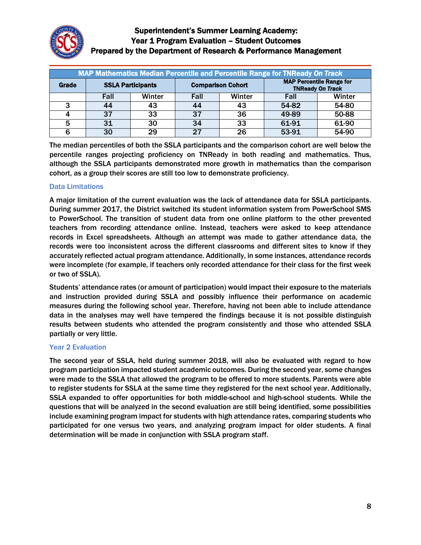

| MAP Mathematics Median Percentile and Percentile Range for TNReady On Track |                          |        |                          |        |                                                            |        |  |
|-----------------------------------------------------------------------------|--------------------------|--------|--------------------------|--------|------------------------------------------------------------|--------|--|
| Grade                                                                       | <b>SSLA Participants</b> |        | <b>Comparison Cohort</b> |        | <b>MAP Percentile Range for</b><br><b>TNReady On Track</b> |        |  |
|                                                                             | Fall                     | Winter | Fall                     | Winter | Fall                                                       | Winter |  |
| ີ                                                                           | 44                       | 43     | 44                       | 43     | 54-82                                                      | 54-80  |  |
|                                                                             | 37                       | 33     | 37                       | 36     | 49-89                                                      | 50-88  |  |
| 5                                                                           | 31                       | 30     | 34                       | 33     | 61-91                                                      | 61-90  |  |
| 6                                                                           | 30                       | 29     | 27                       | 26     | 53-91                                                      | 54-90  |  |

The median percentiles of both the SSLA participants and the comparison cohort are well below the percentile ranges projecting proficiency on TNReady in both reading and mathematics. Thus, although the SSLA participants demonstrated more growth in mathematics than the comparison cohort, as a group their scores are still too low to demonstrate proficiency.

### Data Limitations

A major limitation of the current evaluation was the lack of attendance data for SSLA participants. During summer 2017, the District switched its student information system from PowerSchool SMS to PowerSchool. The transition of student data from one online platform to the other prevented teachers from recording attendance online. Instead, teachers were asked to keep attendance records in Excel spreadsheets. Although an attempt was made to gather attendance data, the records were too inconsistent across the different classrooms and different sites to know if they accurately reflected actual program attendance. Additionally, in some instances, attendance records were incomplete (for example, if teachers only recorded attendance for their class for the first week or two of SSLA).

Students' attendance rates (or amount of participation) would impact their exposure to the materials and instruction provided during SSLA and possibly influence their performance on academic measures during the following school year. Therefore, having not been able to include attendance data in the analyses may well have tempered the findings because it is not possible distinguish results between students who attended the program consistently and those who attended SSLA partially or very little.

#### Year 2 Evaluation

The second year of SSLA, held during summer 2018, will also be evaluated with regard to how program participation impacted student academic outcomes. During the second year, some changes were made to the SSLA that allowed the program to be offered to more students. Parents were able to register students for SSLA at the same time they registered for the next school year. Additionally, SSLA expanded to offer opportunities for both middle-school and high-school students. While the questions that will be analyzed in the second evaluation are still being identified, some possibilities include examining program impact for students with high attendance rates, comparing students who participated for one versus two years, and analyzing program impact for older students. A final determination will be made in conjunction with SSLA program staff.